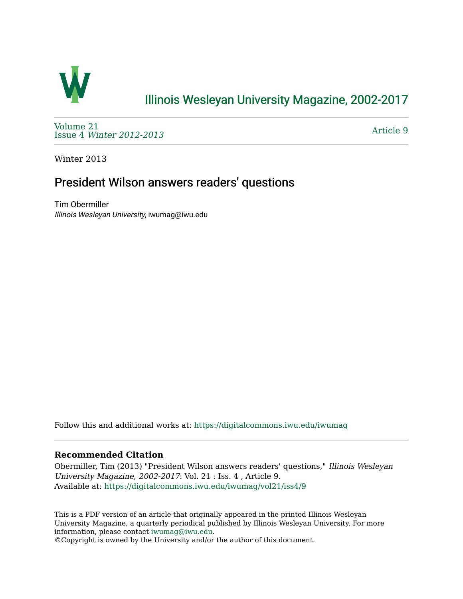

## [Illinois Wesleyan University Magazine, 2002-2017](https://digitalcommons.iwu.edu/iwumag)

[Volume 21](https://digitalcommons.iwu.edu/iwumag/vol21)  Issue 4 [Winter 2012-2013](https://digitalcommons.iwu.edu/iwumag/vol21/iss4)

[Article 9](https://digitalcommons.iwu.edu/iwumag/vol21/iss4/9) 

Winter 2013

## President Wilson answers readers' questions

Tim Obermiller Illinois Wesleyan University, iwumag@iwu.edu

Follow this and additional works at: [https://digitalcommons.iwu.edu/iwumag](https://digitalcommons.iwu.edu/iwumag?utm_source=digitalcommons.iwu.edu%2Fiwumag%2Fvol21%2Fiss4%2F9&utm_medium=PDF&utm_campaign=PDFCoverPages) 

## **Recommended Citation**

Obermiller, Tim (2013) "President Wilson answers readers' questions," Illinois Wesleyan University Magazine, 2002-2017: Vol. 21 : Iss. 4 , Article 9. Available at: [https://digitalcommons.iwu.edu/iwumag/vol21/iss4/9](https://digitalcommons.iwu.edu/iwumag/vol21/iss4/9?utm_source=digitalcommons.iwu.edu%2Fiwumag%2Fvol21%2Fiss4%2F9&utm_medium=PDF&utm_campaign=PDFCoverPages)

This is a PDF version of an article that originally appeared in the printed Illinois Wesleyan University Magazine, a quarterly periodical published by Illinois Wesleyan University. For more information, please contact [iwumag@iwu.edu](mailto:iwumag@iwu.edu).

©Copyright is owned by the University and/or the author of this document.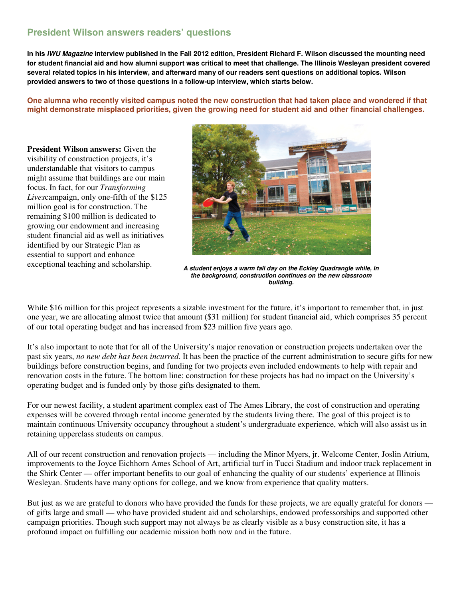## **President Wilson answers readers' questions**

**In his IWU Magazine interview published in the Fall 2012 edition, President Richard F. Wilson discussed the mounting need for student financial aid and how alumni support was critical to meet that challenge. The Illinois Wesleyan president covered several related topics in his interview, and afterward many of our readers sent questions on additional topics. Wilson provided answers to two of those questions in a follow-up interview, which starts below.**

**One alumna who recently visited campus noted the new construction that had taken place and wondered if that might demonstrate misplaced priorities, given the growing need for student aid and other financial challenges.** 

**President Wilson answers:** Given the visibility of construction projects, it's understandable that visitors to campus might assume that buildings are our main focus. In fact, for our *Transforming Lives*campaign, only one-fifth of the \$125 million goal is for construction. The remaining \$100 million is dedicated to growing our endowment and increasing student financial aid as well as initiatives identified by our Strategic Plan as essential to support and enhance



exceptional teaching and scholarship.<br>**A student enjoys a warm fall day on the Eckley Quadrangle while, in the background, construction continues on the new classroom building.**

While \$16 million for this project represents a sizable investment for the future, it's important to remember that, in just one year, we are allocating almost twice that amount (\$31 million) for student financial aid, which comprises 35 percent of our total operating budget and has increased from \$23 million five years ago.

It's also important to note that for all of the University's major renovation or construction projects undertaken over the past six years, *no new debt has been incurred*. It has been the practice of the current administration to secure gifts for new buildings before construction begins, and funding for two projects even included endowments to help with repair and renovation costs in the future. The bottom line: construction for these projects has had no impact on the University's operating budget and is funded only by those gifts designated to them.

For our newest facility, a student apartment complex east of The Ames Library, the cost of construction and operating expenses will be covered through rental income generated by the students living there. The goal of this project is to maintain continuous University occupancy throughout a student's undergraduate experience, which will also assist us in retaining upperclass students on campus.

All of our recent construction and renovation projects — including the Minor Myers, jr. Welcome Center, Joslin Atrium, improvements to the Joyce Eichhorn Ames School of Art, artificial turf in Tucci Stadium and indoor track replacement in the Shirk Center — offer important benefits to our goal of enhancing the quality of our students' experience at Illinois Wesleyan. Students have many options for college, and we know from experience that quality matters.

But just as we are grateful to donors who have provided the funds for these projects, we are equally grateful for donors of gifts large and small — who have provided student aid and scholarships, endowed professorships and supported other campaign priorities. Though such support may not always be as clearly visible as a busy construction site, it has a profound impact on fulfilling our academic mission both now and in the future.